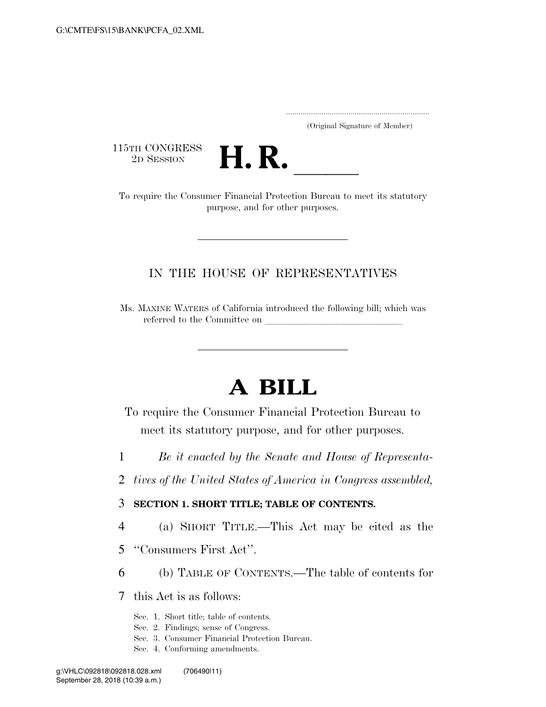..................................................................... (Original Signature of Member)

115TH CONGRESS<br>2D SESSION



15TH CONGRESS<br>
2D SESSION<br>
To require the Consumer Financial Protection Bureau to meet its statutory purpose, and for other purposes.

# IN THE HOUSE OF REPRESENTATIVES

Ms. MAXINE WATERS of California introduced the following bill; which was referred to the Committee on

# **A BILL**

To require the Consumer Financial Protection Bureau to meet its statutory purpose, and for other purposes.

- 1 *Be it enacted by the Senate and House of Representa-*
- 2 *tives of the United States of America in Congress assembled,*

#### 3 **SECTION 1. SHORT TITLE; TABLE OF CONTENTS.**

- 4 (a) SHORT TITLE.—This Act may be cited as the
- 5 ''Consumers First Act''.
- 6 (b) TABLE OF CONTENTS.—The table of contents for

7 this Act is as follows:

- Sec. 1. Short title; table of contents.
- Sec. 2. Findings; sense of Congress.
- Sec. 3. Consumer Financial Protection Bureau.
- Sec. 4. Conforming amendments.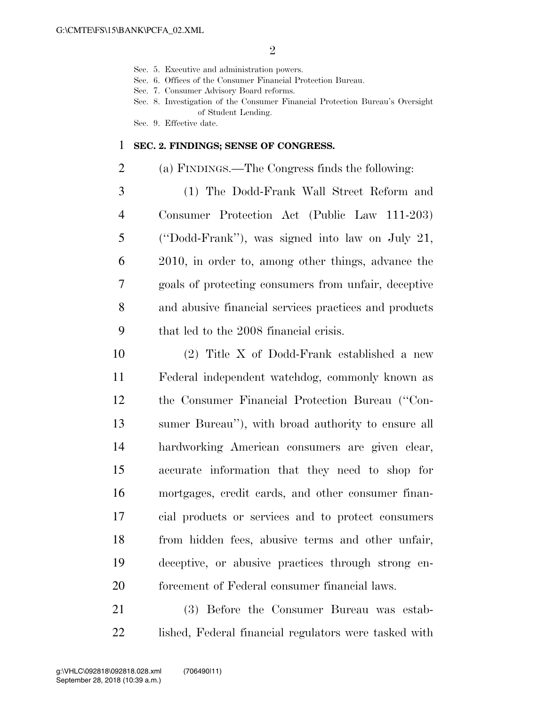- Sec. 5. Executive and administration powers.
- Sec. 6. Offices of the Consumer Financial Protection Bureau.
- Sec. 7. Consumer Advisory Board reforms.
- Sec. 8. Investigation of the Consumer Financial Protection Bureau's Oversight of Student Lending.
- Sec. 9. Effective date.

#### **SEC. 2. FINDINGS; SENSE OF CONGRESS.**

- (a) FINDINGS.—The Congress finds the following:
- (1) The Dodd-Frank Wall Street Reform and Consumer Protection Act (Public Law 111-203) (''Dodd-Frank''), was signed into law on July 21, 2010, in order to, among other things, advance the goals of protecting consumers from unfair, deceptive and abusive financial services practices and products that led to the 2008 financial crisis.
- (2) Title X of Dodd-Frank established a new Federal independent watchdog, commonly known as the Consumer Financial Protection Bureau (''Con- sumer Bureau''), with broad authority to ensure all hardworking American consumers are given clear, accurate information that they need to shop for mortgages, credit cards, and other consumer finan- cial products or services and to protect consumers from hidden fees, abusive terms and other unfair, deceptive, or abusive practices through strong en-forcement of Federal consumer financial laws.
- (3) Before the Consumer Bureau was estab-lished, Federal financial regulators were tasked with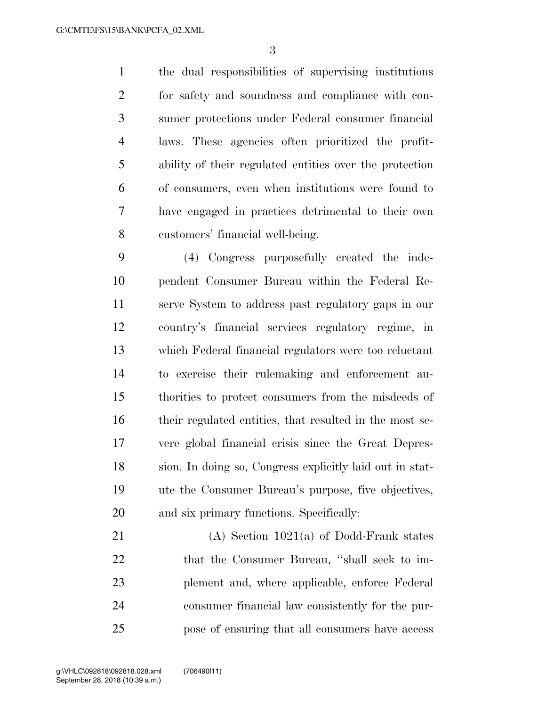the dual responsibilities of supervising institutions for safety and soundness and compliance with con- sumer protections under Federal consumer financial laws. These agencies often prioritized the profit- ability of their regulated entities over the protection of consumers, even when institutions were found to have engaged in practices detrimental to their own customers' financial well-being.

 (4) Congress purposefully created the inde- pendent Consumer Bureau within the Federal Re- serve System to address past regulatory gaps in our country's financial services regulatory regime, in which Federal financial regulators were too reluctant to exercise their rulemaking and enforcement au- thorities to protect consumers from the misdeeds of their regulated entities, that resulted in the most se- vere global financial crisis since the Great Depres- sion. In doing so, Congress explicitly laid out in stat- ute the Consumer Bureau's purpose, five objectives, and six primary functions. Specifically:

 (A) Section 1021(a) of Dodd-Frank states 22 that the Consumer Bureau, "shall seek to im- plement and, where applicable, enforce Federal consumer financial law consistently for the pur-pose of ensuring that all consumers have access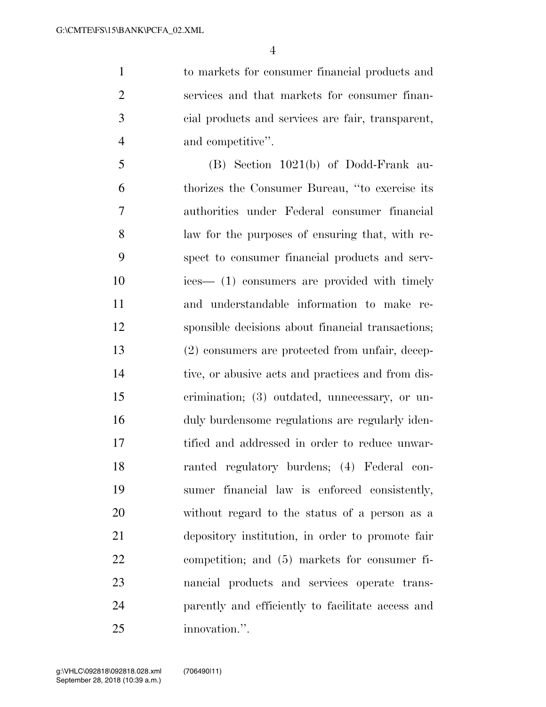to markets for consumer financial products and services and that markets for consumer finan- cial products and services are fair, transparent, and competitive''.

 (B) Section 1021(b) of Dodd-Frank au- thorizes the Consumer Bureau, ''to exercise its authorities under Federal consumer financial law for the purposes of ensuring that, with re- spect to consumer financial products and serv- ices— (1) consumers are provided with timely and understandable information to make re- sponsible decisions about financial transactions; (2) consumers are protected from unfair, decep- tive, or abusive acts and practices and from dis- crimination; (3) outdated, unnecessary, or un- duly burdensome regulations are regularly iden- tified and addressed in order to reduce unwar- ranted regulatory burdens; (4) Federal con- sumer financial law is enforced consistently, without regard to the status of a person as a depository institution, in order to promote fair competition; and (5) markets for consumer fi- nancial products and services operate trans- parently and efficiently to facilitate access and innovation.''.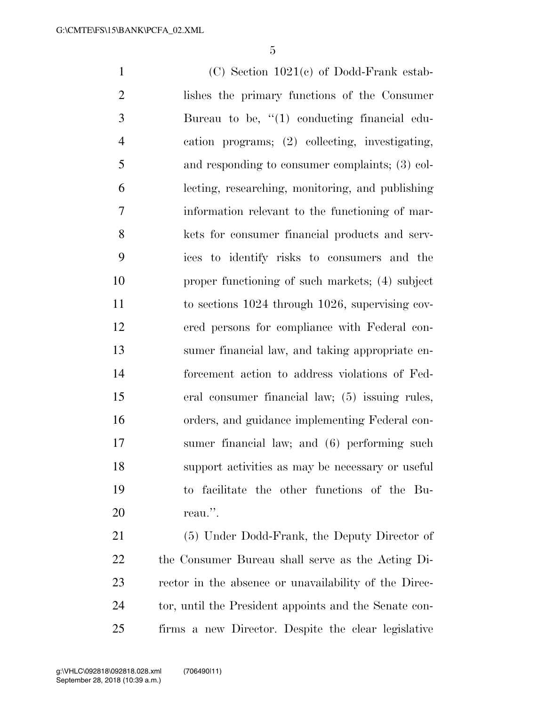(C) Section 1021(c) of Dodd-Frank estab- lishes the primary functions of the Consumer Bureau to be, ''(1) conducting financial edu- cation programs; (2) collecting, investigating, and responding to consumer complaints; (3) col- lecting, researching, monitoring, and publishing information relevant to the functioning of mar- kets for consumer financial products and serv- ices to identify risks to consumers and the proper functioning of such markets; (4) subject to sections 1024 through 1026, supervising cov- ered persons for compliance with Federal con- sumer financial law, and taking appropriate en- forcement action to address violations of Fed- eral consumer financial law; (5) issuing rules, orders, and guidance implementing Federal con- sumer financial law; and (6) performing such support activities as may be necessary or useful to facilitate the other functions of the Bu-reau.''.

 (5) Under Dodd-Frank, the Deputy Director of the Consumer Bureau shall serve as the Acting Di- rector in the absence or unavailability of the Direc-24 tor, until the President appoints and the Senate con-firms a new Director. Despite the clear legislative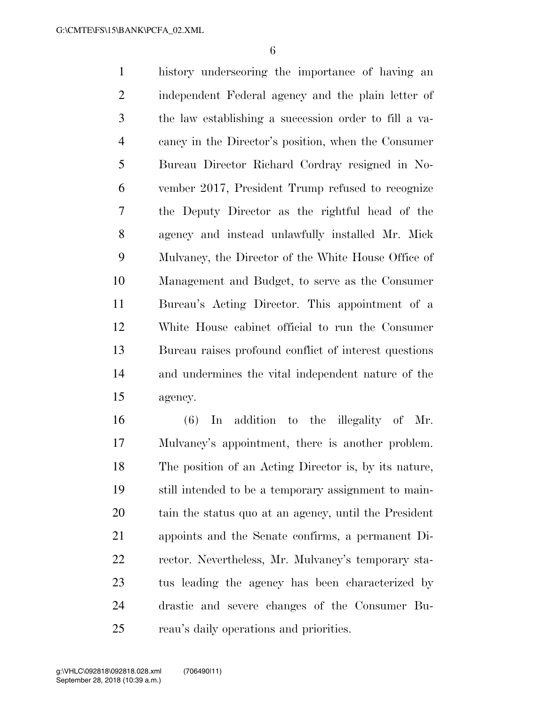history underscoring the importance of having an independent Federal agency and the plain letter of the law establishing a succession order to fill a va- cancy in the Director's position, when the Consumer Bureau Director Richard Cordray resigned in No- vember 2017, President Trump refused to recognize the Deputy Director as the rightful head of the agency and instead unlawfully installed Mr. Mick Mulvaney, the Director of the White House Office of Management and Budget, to serve as the Consumer Bureau's Acting Director. This appointment of a White House cabinet official to run the Consumer Bureau raises profound conflict of interest questions and undermines the vital independent nature of the agency.

 (6) In addition to the illegality of Mr. Mulvaney's appointment, there is another problem. The position of an Acting Director is, by its nature, still intended to be a temporary assignment to main- tain the status quo at an agency, until the President appoints and the Senate confirms, a permanent Di- rector. Nevertheless, Mr. Mulvaney's temporary sta- tus leading the agency has been characterized by drastic and severe changes of the Consumer Bu-reau's daily operations and priorities.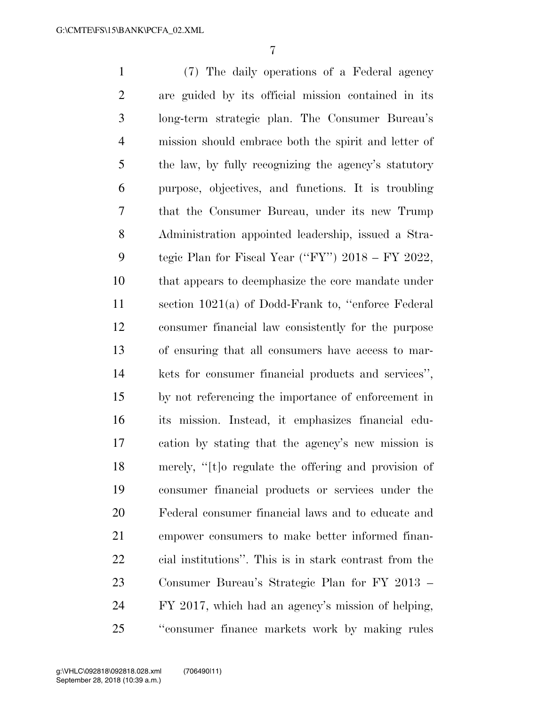(7) The daily operations of a Federal agency are guided by its official mission contained in its long-term strategic plan. The Consumer Bureau's mission should embrace both the spirit and letter of the law, by fully recognizing the agency's statutory purpose, objectives, and functions. It is troubling that the Consumer Bureau, under its new Trump Administration appointed leadership, issued a Stra- tegic Plan for Fiscal Year (''FY'') 2018 – FY 2022, that appears to deemphasize the core mandate under section 1021(a) of Dodd-Frank to, ''enforce Federal consumer financial law consistently for the purpose of ensuring that all consumers have access to mar- kets for consumer financial products and services'', by not referencing the importance of enforcement in its mission. Instead, it emphasizes financial edu- cation by stating that the agency's new mission is merely, ''[t]o regulate the offering and provision of consumer financial products or services under the Federal consumer financial laws and to educate and empower consumers to make better informed finan- cial institutions''. This is in stark contrast from the Consumer Bureau's Strategic Plan for FY 2013 – FY 2017, which had an agency's mission of helping, ''consumer finance markets work by making rules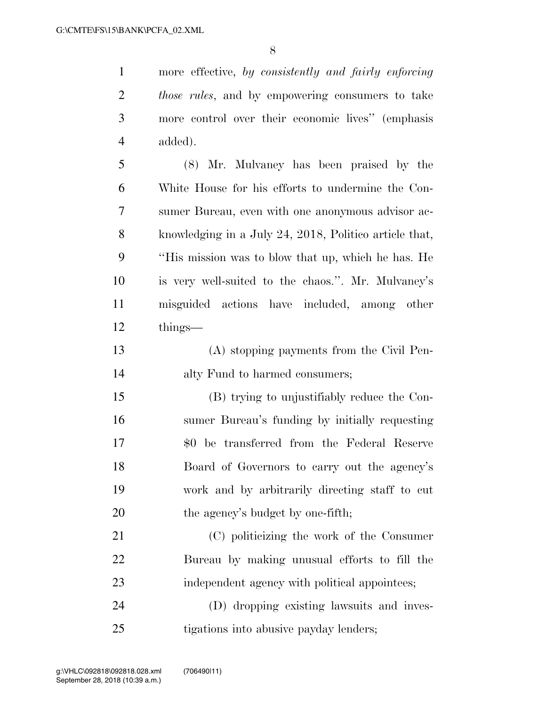more effective, *by consistently and fairly enforcing those rules*, and by empowering consumers to take more control over their economic lives'' (emphasis added).

 (8) Mr. Mulvaney has been praised by the White House for his efforts to undermine the Con- sumer Bureau, even with one anonymous advisor ac- knowledging in a July 24, 2018, Politico article that, ''His mission was to blow that up, which he has. He is very well-suited to the chaos.''. Mr. Mulvaney's misguided actions have included, among other things—

 (A) stopping payments from the Civil Pen-alty Fund to harmed consumers;

 (B) trying to unjustifiably reduce the Con- sumer Bureau's funding by initially requesting \$0 be transferred from the Federal Reserve Board of Governors to carry out the agency's work and by arbitrarily directing staff to cut 20 the agency's budget by one-fifth;

 (C) politicizing the work of the Consumer Bureau by making unusual efforts to fill the 23 independent agency with political appointees;

 (D) dropping existing lawsuits and inves-tigations into abusive payday lenders;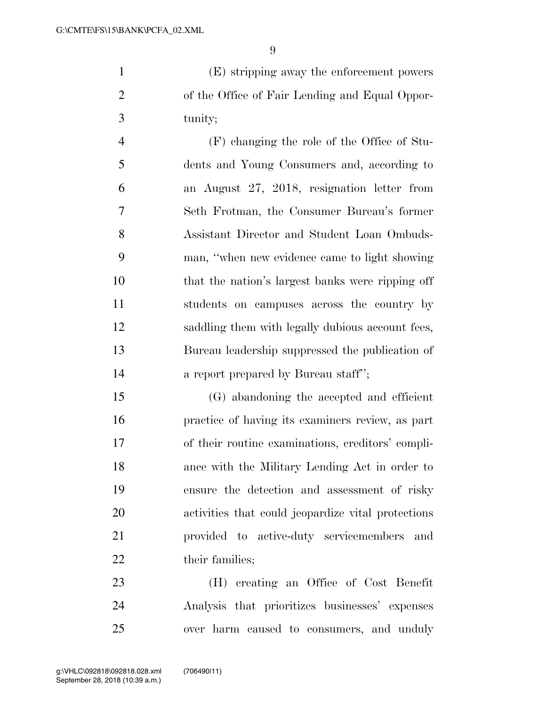(E) stripping away the enforcement powers of the Office of Fair Lending and Equal Oppor-tunity;

 (F) changing the role of the Office of Stu- dents and Young Consumers and, according to an August 27, 2018, resignation letter from Seth Frotman, the Consumer Bureau's former Assistant Director and Student Loan Ombuds- man, ''when new evidence came to light showing that the nation's largest banks were ripping off students on campuses across the country by saddling them with legally dubious account fees, Bureau leadership suppressed the publication of **a** report prepared by Bureau staff";

 (G) abandoning the accepted and efficient practice of having its examiners review, as part of their routine examinations, creditors' compli- ance with the Military Lending Act in order to ensure the detection and assessment of risky activities that could jeopardize vital protections provided to active-duty servicemembers and 22 their families;

 (H) creating an Office of Cost Benefit Analysis that prioritizes businesses' expenses over harm caused to consumers, and unduly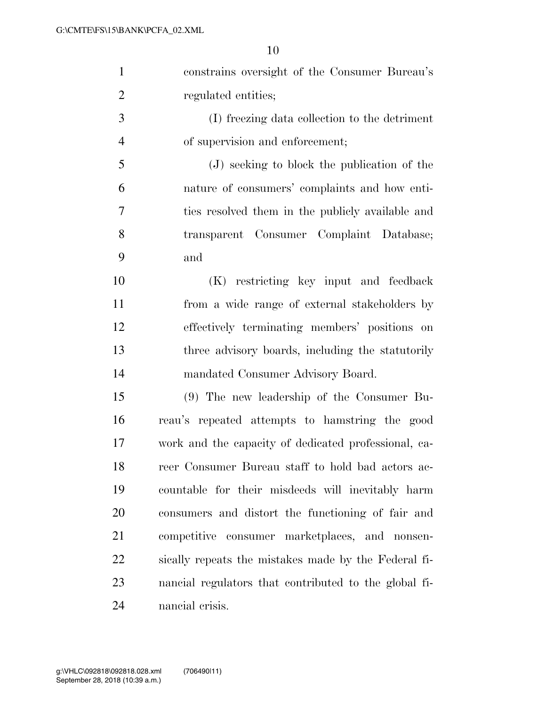| $\mathbf{1}$   | constrains oversight of the Consumer Bureau's         |
|----------------|-------------------------------------------------------|
| $\overline{2}$ | regulated entities;                                   |
| 3              | (I) freezing data collection to the detriment         |
| $\overline{4}$ | of supervision and enforcement;                       |
| 5              | (J) seeking to block the publication of the           |
| 6              | nature of consumers' complaints and how enti-         |
| $\tau$         | ties resolved them in the publicly available and      |
| 8              | transparent Consumer Complaint Database;              |
| 9              | and                                                   |
| 10             | (K) restricting key input and feedback                |
| 11             | from a wide range of external stakeholders by         |
| 12             | effectively terminating members' positions on         |
| 13             | three advisory boards, including the statutorily      |
| 14             | mandated Consumer Advisory Board.                     |
| 15             | $(9)$ The new leadership of the Consumer Bu-          |
| 16             | reau's repeated attempts to hamstring the good        |
| 17             | work and the capacity of dedicated professional, ca-  |
| 18             | reer Consumer Bureau staff to hold bad actors ac-     |
| 19             | countable for their misdeeds will inevitably harm     |
| 20             | consumers and distort the functioning of fair and     |
| 21             | competitive consumer marketplaces, and nonsen-        |
| 22             | sically repeats the mistakes made by the Federal fi-  |
| 23             | nancial regulators that contributed to the global fi- |
| 24             | nancial crisis.                                       |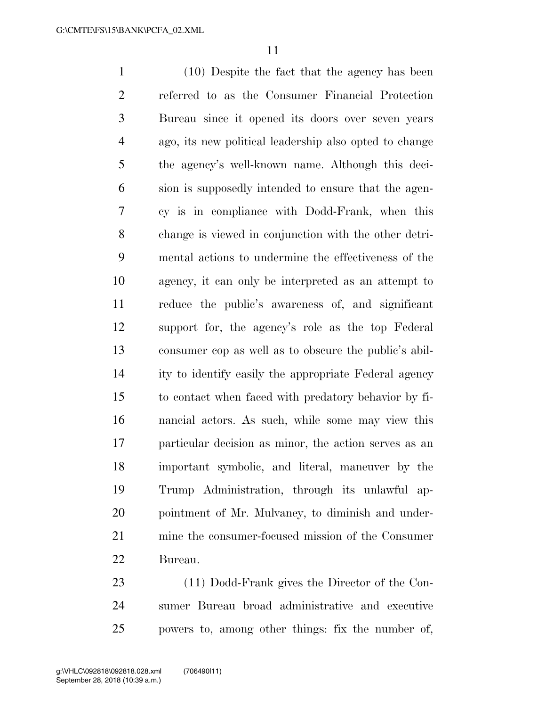(10) Despite the fact that the agency has been referred to as the Consumer Financial Protection Bureau since it opened its doors over seven years ago, its new political leadership also opted to change the agency's well-known name. Although this deci- sion is supposedly intended to ensure that the agen- cy is in compliance with Dodd-Frank, when this change is viewed in conjunction with the other detri- mental actions to undermine the effectiveness of the agency, it can only be interpreted as an attempt to reduce the public's awareness of, and significant support for, the agency's role as the top Federal consumer cop as well as to obscure the public's abil- ity to identify easily the appropriate Federal agency to contact when faced with predatory behavior by fi- nancial actors. As such, while some may view this particular decision as minor, the action serves as an important symbolic, and literal, maneuver by the Trump Administration, through its unlawful ap- pointment of Mr. Mulvaney, to diminish and under- mine the consumer-focused mission of the Consumer Bureau.

 (11) Dodd-Frank gives the Director of the Con- sumer Bureau broad administrative and executive powers to, among other things: fix the number of,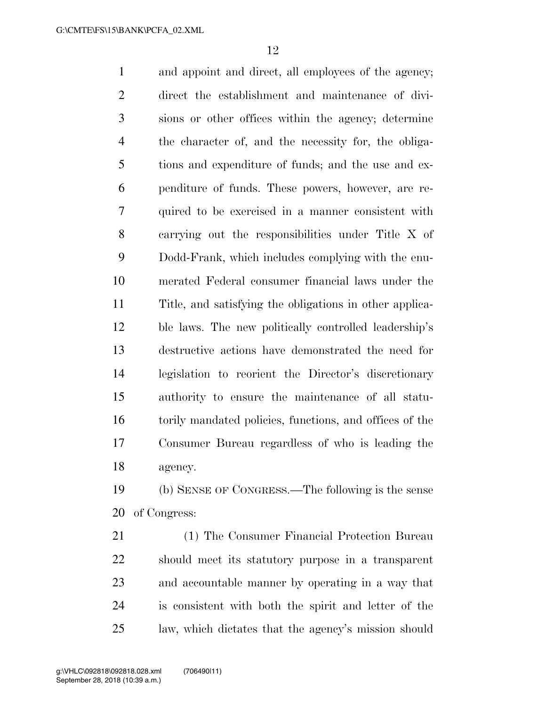and appoint and direct, all employees of the agency; direct the establishment and maintenance of divi- sions or other offices within the agency; determine the character of, and the necessity for, the obliga- tions and expenditure of funds; and the use and ex- penditure of funds. These powers, however, are re- quired to be exercised in a manner consistent with carrying out the responsibilities under Title X of Dodd-Frank, which includes complying with the enu- merated Federal consumer financial laws under the Title, and satisfying the obligations in other applica- ble laws. The new politically controlled leadership's destructive actions have demonstrated the need for legislation to reorient the Director's discretionary authority to ensure the maintenance of all statu- torily mandated policies, functions, and offices of the Consumer Bureau regardless of who is leading the agency.

 (b) SENSE OF CONGRESS.—The following is the sense of Congress:

 (1) The Consumer Financial Protection Bureau should meet its statutory purpose in a transparent and accountable manner by operating in a way that is consistent with both the spirit and letter of the law, which dictates that the agency's mission should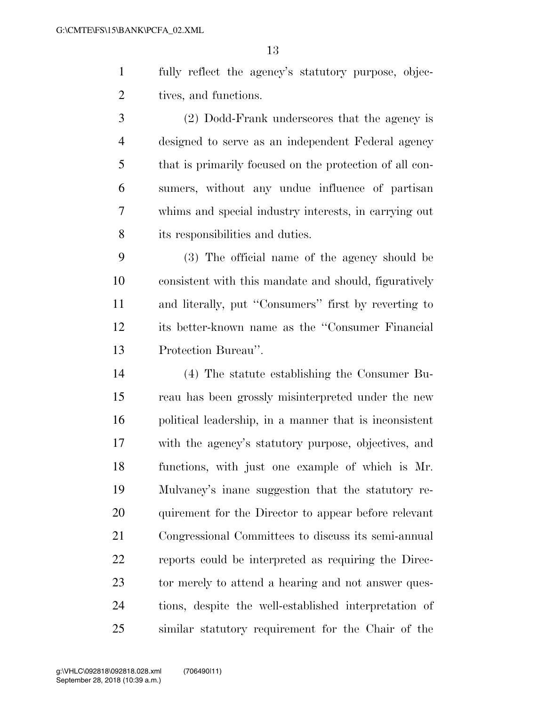fully reflect the agency's statutory purpose, objec-tives, and functions.

 (2) Dodd-Frank underscores that the agency is designed to serve as an independent Federal agency that is primarily focused on the protection of all con- sumers, without any undue influence of partisan whims and special industry interests, in carrying out its responsibilities and duties.

 (3) The official name of the agency should be consistent with this mandate and should, figuratively and literally, put ''Consumers'' first by reverting to its better-known name as the ''Consumer Financial Protection Bureau''.

 (4) The statute establishing the Consumer Bu- reau has been grossly misinterpreted under the new political leadership, in a manner that is inconsistent with the agency's statutory purpose, objectives, and functions, with just one example of which is Mr. Mulvaney's inane suggestion that the statutory re- quirement for the Director to appear before relevant Congressional Committees to discuss its semi-annual reports could be interpreted as requiring the Direc-23 tor merely to attend a hearing and not answer ques- tions, despite the well-established interpretation of similar statutory requirement for the Chair of the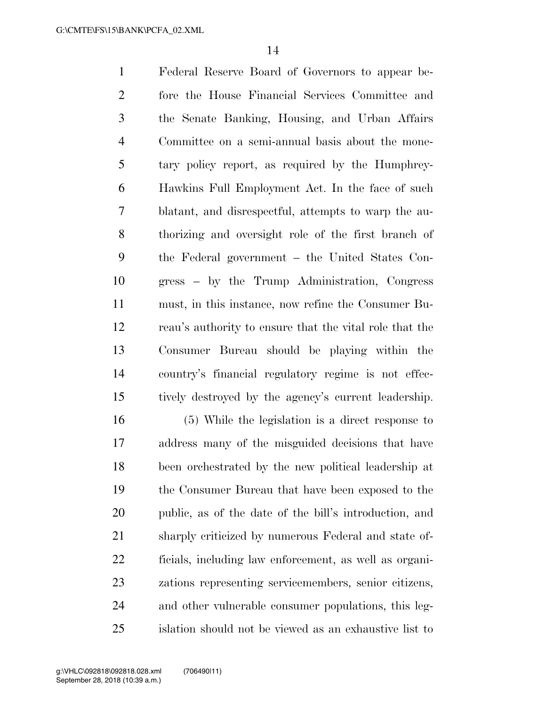Federal Reserve Board of Governors to appear be- fore the House Financial Services Committee and the Senate Banking, Housing, and Urban Affairs Committee on a semi-annual basis about the mone- tary policy report, as required by the Humphrey- Hawkins Full Employment Act. In the face of such blatant, and disrespectful, attempts to warp the au- thorizing and oversight role of the first branch of the Federal government – the United States Con- gress – by the Trump Administration, Congress must, in this instance, now refine the Consumer Bu- reau's authority to ensure that the vital role that the Consumer Bureau should be playing within the country's financial regulatory regime is not effec-tively destroyed by the agency's current leadership.

 (5) While the legislation is a direct response to address many of the misguided decisions that have been orchestrated by the new political leadership at the Consumer Bureau that have been exposed to the public, as of the date of the bill's introduction, and sharply criticized by numerous Federal and state of- ficials, including law enforcement, as well as organi- zations representing servicemembers, senior citizens, and other vulnerable consumer populations, this leg-islation should not be viewed as an exhaustive list to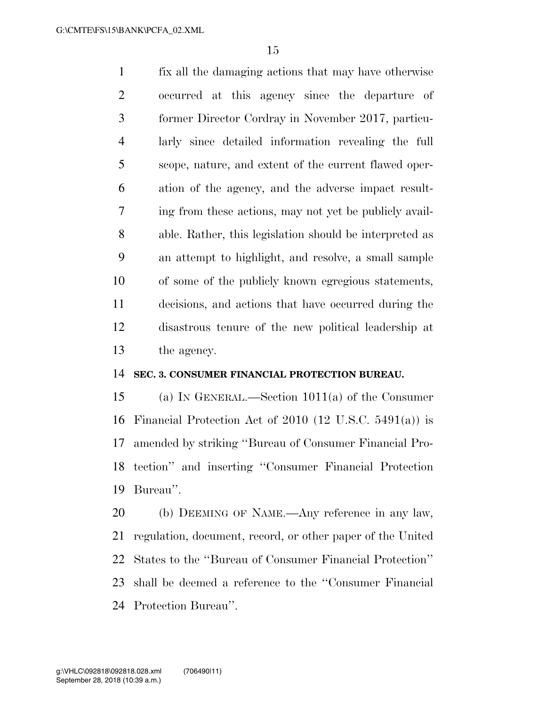fix all the damaging actions that may have otherwise occurred at this agency since the departure of former Director Cordray in November 2017, particu- larly since detailed information revealing the full scope, nature, and extent of the current flawed oper- ation of the agency, and the adverse impact result- ing from these actions, may not yet be publicly avail- able. Rather, this legislation should be interpreted as an attempt to highlight, and resolve, a small sample of some of the publicly known egregious statements, decisions, and actions that have occurred during the disastrous tenure of the new political leadership at the agency.

#### **SEC. 3. CONSUMER FINANCIAL PROTECTION BUREAU.**

 (a) IN GENERAL.—Section 1011(a) of the Consumer Financial Protection Act of 2010 (12 U.S.C. 5491(a)) is amended by striking ''Bureau of Consumer Financial Pro- tection'' and inserting ''Consumer Financial Protection Bureau''.

 (b) DEEMING OF NAME.—Any reference in any law, regulation, document, record, or other paper of the United States to the ''Bureau of Consumer Financial Protection'' shall be deemed a reference to the ''Consumer Financial Protection Bureau''.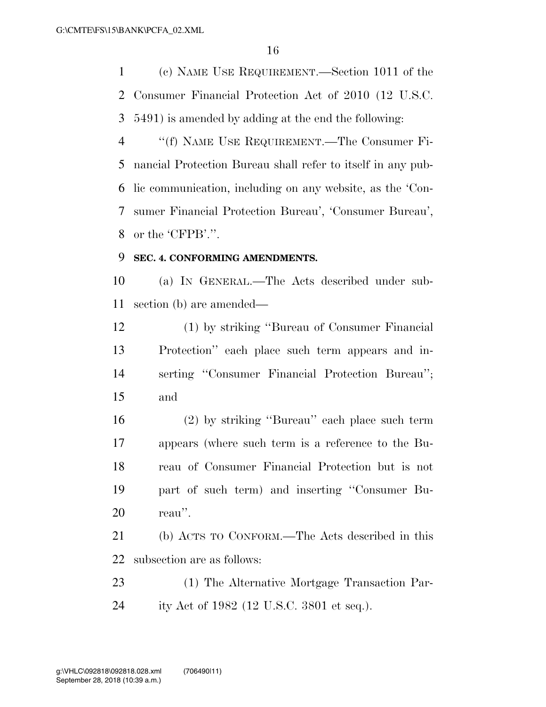(c) NAME USE REQUIREMENT.—Section 1011 of the Consumer Financial Protection Act of 2010 (12 U.S.C. 5491) is amended by adding at the end the following:

 ''(f) NAME USE REQUIREMENT.—The Consumer Fi- nancial Protection Bureau shall refer to itself in any pub- lic communication, including on any website, as the 'Con- sumer Financial Protection Bureau', 'Consumer Bureau', or the 'CFPB'.''.

## **SEC. 4. CONFORMING AMENDMENTS.**

 (a) IN GENERAL.—The Acts described under sub-section (b) are amended—

 (1) by striking ''Bureau of Consumer Financial Protection'' each place such term appears and in- serting ''Consumer Financial Protection Bureau''; and

 (2) by striking ''Bureau'' each place such term appears (where such term is a reference to the Bu- reau of Consumer Financial Protection but is not part of such term) and inserting ''Consumer Bu-reau''.

 (b) ACTS TO CONFORM.—The Acts described in this subsection are as follows:

 (1) The Alternative Mortgage Transaction Par-ity Act of 1982 (12 U.S.C. 3801 et seq.).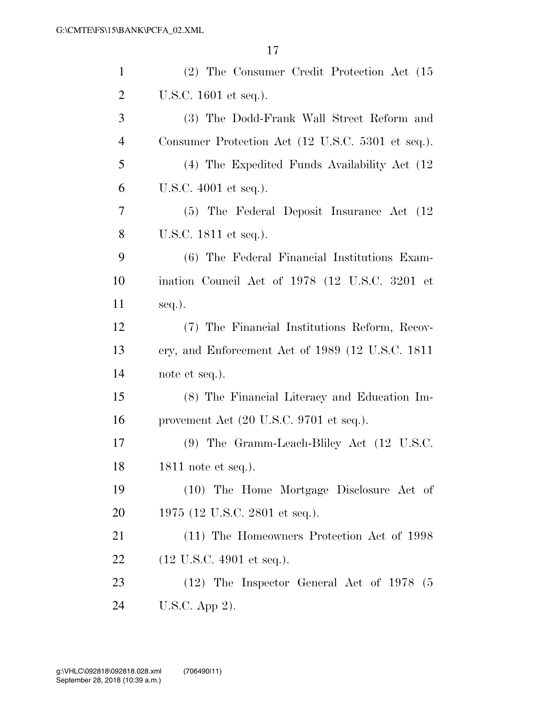| $\mathbf{1}$   | (2) The Consumer Credit Protection Act (15)                |
|----------------|------------------------------------------------------------|
| $\overline{2}$ | U.S.C. 1601 et seq.).                                      |
| 3              | (3) The Dodd-Frank Wall Street Reform and                  |
| $\overline{4}$ | Consumer Protection Act (12 U.S.C. 5301 et seq.).          |
| 5              | (4) The Expedited Funds Availability Act (12)              |
| 6              | U.S.C. 4001 et seq.).                                      |
| 7              | (5) The Federal Deposit Insurance Act (12)                 |
| 8              | U.S.C. 1811 et seq.).                                      |
| 9              | (6) The Federal Financial Institutions Exam-               |
| 10             | ination Council Act of 1978 (12 U.S.C. 3201 et             |
| 11             | seq.).                                                     |
| 12             | (7) The Financial Institutions Reform, Recov-              |
| 13             | ery, and Enforcement Act of 1989 (12 U.S.C. 1811           |
| 14             | note et seq.).                                             |
| 15             | (8) The Financial Literacy and Education Im-               |
| 16             | provement Act $(20 \text{ U.S.C. } 9701 \text{ et seq.}).$ |
| 17             | (9) The Gramm-Leach-Bliley Act (12 U.S.C.                  |
| 18             | 1811 note et seq.).                                        |
| 19             | (10) The Home Mortgage Disclosure Act of                   |
| 20             | 1975 (12 U.S.C. 2801 et seq.).                             |
| 21             | (11) The Homeowners Protection Act of 1998                 |
| 22             | $(12 \text{ U.S.C. } 4901 \text{ et seq.}).$               |
| 23             | $(12)$ The Inspector General Act of 1978 (5)               |
| 24             | U.S.C. App 2).                                             |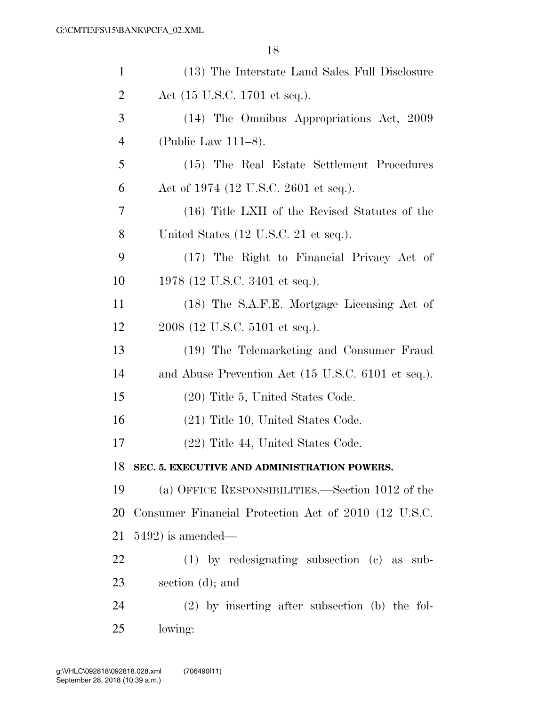| $\mathbf{1}$   | (13) The Interstate Land Sales Full Disclosure       |
|----------------|------------------------------------------------------|
| $\overline{2}$ | Act (15 U.S.C. 1701 et seq.).                        |
| 3              | (14) The Omnibus Appropriations Act, 2009            |
| $\overline{4}$ | (Public Law 111–8).                                  |
| 5              | (15) The Real Estate Settlement Procedures           |
| 6              | Act of 1974 (12 U.S.C. 2601 et seq.).                |
| 7              | (16) Title LXII of the Revised Statutes of the       |
| 8              | United States (12 U.S.C. 21 et seq.).                |
| 9              | (17) The Right to Financial Privacy Act of           |
| 10             | 1978 (12 U.S.C. 3401 et seq.).                       |
| 11             | (18) The S.A.F.E. Mortgage Licensing Act of          |
| 12             | 2008 (12 U.S.C. 5101 et seq.).                       |
| 13             | (19) The Telemarketing and Consumer Fraud            |
| 14             | and Abuse Prevention Act (15 U.S.C. 6101 et seq.).   |
| 15             | (20) Title 5, United States Code.                    |
| 16             | $(21)$ Title 10, United States Code.                 |
| 17             | (22) Title 44, United States Code.                   |
| 18             | SEC. 5. EXECUTIVE AND ADMINISTRATION POWERS.         |
| 19             | (a) OFFICE RESPONSIBILITIES.—Section 1012 of the     |
| 20             | Consumer Financial Protection Act of 2010 (12 U.S.C. |
| 21             | $5492$ ) is amended—                                 |
| 22             | $(1)$ by redesignating subsection $(c)$ as sub-      |
| 23             | section $(d)$ ; and                                  |
| 24             | $(2)$ by inserting after subsection (b) the fol-     |
| 25             | lowing:                                              |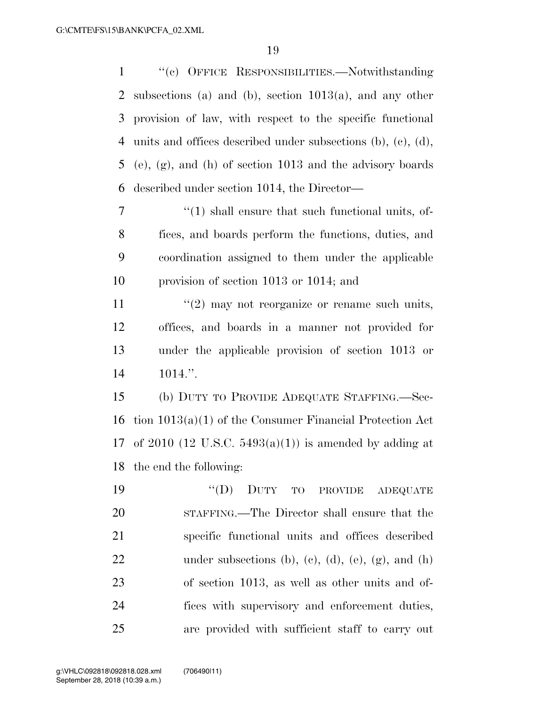''(c) OFFICE RESPONSIBILITIES.—Notwithstanding

 subsections (a) and (b), section 1013(a), and any other provision of law, with respect to the specific functional units and offices described under subsections (b), (c), (d), (e), (g), and (h) of section 1013 and the advisory boards described under section 1014, the Director—  $\frac{1}{1}$  shall ensure that such functional units, of- fices, and boards perform the functions, duties, and coordination assigned to them under the applicable provision of section 1013 or 1014; and  $\frac{1}{2}$  may not reorganize or rename such units, offices, and boards in a manner not provided for under the applicable provision of section 1013 or 1014.''. (b) DUTY TO PROVIDE ADEQUATE STAFFING.—Sec- tion 1013(a)(1) of the Consumer Financial Protection Act 17 of 2010 (12 U.S.C.  $5493(a)(1)$ ) is amended by adding at the end the following: ''(D) DUTY TO PROVIDE ADEQUATE STAFFING.—The Director shall ensure that the specific functional units and offices described 22 under subsections (b), (c), (d), (e),  $(g)$ , and (h) of section 1013, as well as other units and of- fices with supervisory and enforcement duties, are provided with sufficient staff to carry out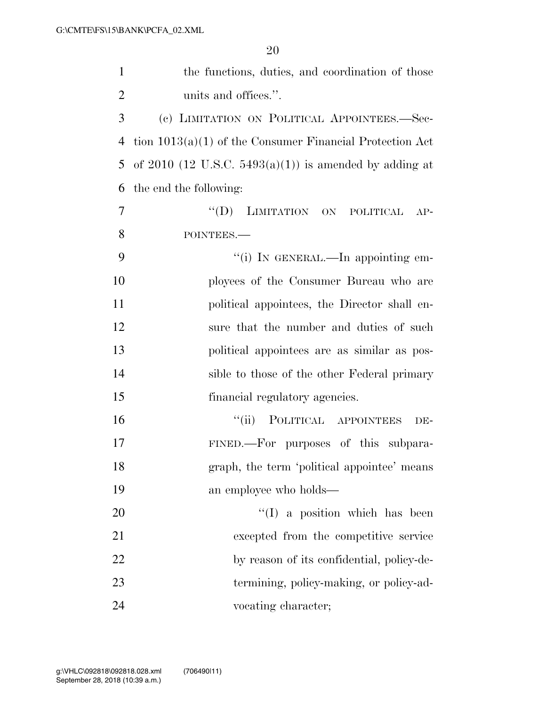| $\mathbf{1}$   | the functions, duties, and coordination of those           |
|----------------|------------------------------------------------------------|
| $\overline{2}$ | units and offices.".                                       |
| 3              | (c) LIMITATION ON POLITICAL APPOINTEES.—Sec-               |
| 4              | tion $1013(a)(1)$ of the Consumer Financial Protection Act |
| 5              | of 2010 (12 U.S.C. 5493(a)(1)) is amended by adding at     |
| 6              | the end the following:                                     |
| $\overline{7}$ | "(D) LIMITATION ON POLITICAL<br>$AP-$                      |
| 8              | POINTEES.-                                                 |
| 9              | "(i) IN GENERAL.—In appointing em-                         |
| 10             | ployees of the Consumer Bureau who are                     |
| 11             | political appointees, the Director shall en-               |
| 12             | sure that the number and duties of such                    |
| 13             | political appointees are as similar as pos-                |
| 14             | sible to those of the other Federal primary                |
| 15             | financial regulatory agencies.                             |
| 16             | POLITICAL APPOINTEES<br>``(ii)<br>DE-                      |
| 17             | FINED.-For purposes of this subpara-                       |
| 18             | graph, the term 'political appointee' means                |
| 19             | an employee who holds—                                     |
| 20             | $\lq(1)$ a position which has been                         |
| 21             | excepted from the competitive service                      |
| 22             | by reason of its confidential, policy-de-                  |
| 23             | termining, policy-making, or policy-ad-                    |
| 24             | vocating character;                                        |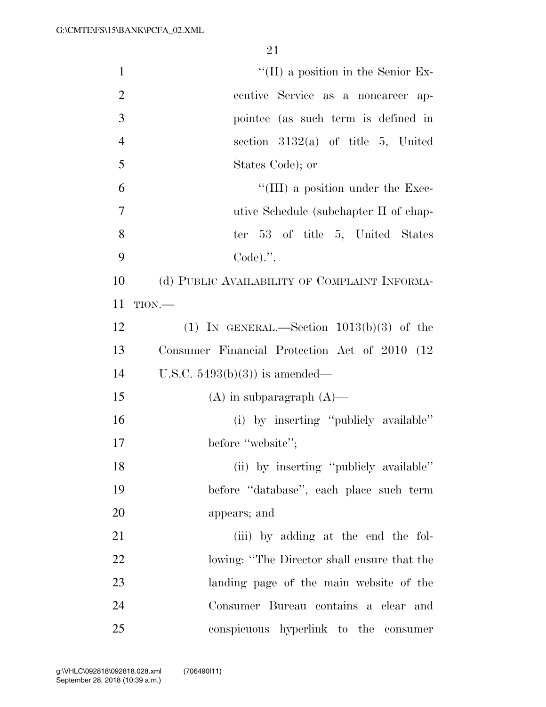| $\mathbf{1}$   | $\lq\lq$ (II) a position in the Senior Ex-    |
|----------------|-----------------------------------------------|
| $\overline{2}$ | ecutive Service as a noncareer ap-            |
| 3              | pointee (as such term is defined in           |
| $\overline{4}$ | section $3132(a)$ of title 5, United          |
| 5              | States Code); or                              |
| 6              | $\lq\lq$ (III) a position under the Exec-     |
| $\overline{7}$ | utive Schedule (subchapter II of chap-        |
| 8              | ter 53 of title 5, United States              |
| 9              | $Code).$ ".                                   |
| 10             | (d) PUBLIC AVAILABILITY OF COMPLAINT INFORMA- |
| 11             | $TION$ .                                      |
| 12             | (1) IN GENERAL.—Section $1013(b)(3)$ of the   |
| 13             | Consumer Financial Protection Act of 2010 (12 |
| 14             | U.S.C. $5493(b)(3)$ is amended—               |
| 15             | $(A)$ in subparagraph $(A)$ —                 |
| 16             | (i) by inserting "publicly available"         |
| 17             | before "website";                             |
| 18             | (ii) by inserting "publicly available"        |
| 19             | before "database", each place such term       |
| 20             | appears; and                                  |
| 21             | (iii) by adding at the end the fol-           |
| 22             | lowing: "The Director shall ensure that the   |
| 23             | landing page of the main website of the       |
| 24             | Consumer Bureau contains a clear and          |
| 25             | conspicuous hyperlink to the consumer         |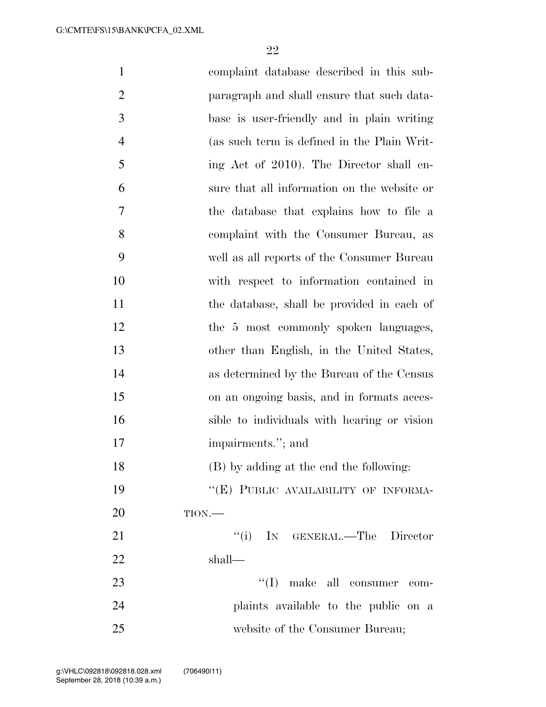| $\mathbf{1}$   | complaint database described in this sub-   |
|----------------|---------------------------------------------|
| $\overline{2}$ | paragraph and shall ensure that such data-  |
| 3              | base is user-friendly and in plain writing  |
| $\overline{4}$ | (as such term is defined in the Plain Writ- |
| 5              | ing Act of 2010). The Director shall en-    |
| 6              | sure that all information on the website or |
| 7              | the database that explains how to file a    |
| 8              | complaint with the Consumer Bureau, as      |
| 9              | well as all reports of the Consumer Bureau  |
| 10             | with respect to information contained in    |
| 11             | the database, shall be provided in each of  |
| 12             | the 5 most commonly spoken languages,       |
| 13             | other than English, in the United States,   |
| 14             | as determined by the Bureau of the Census   |
| 15             | on an ongoing basis, and in formats acces-  |
| 16             | sible to individuals with hearing or vision |
| 17             | impairments."; and                          |
| 18             | (B) by adding at the end the following:     |
| 19             | "(E) PUBLIC AVAILABILITY OF INFORMA-        |
| 20             | $TION$ .                                    |
| 21             | "(i) IN GENERAL.—The Director               |
| 22             | shall—                                      |
| 23             | "(I) make all consumer com-                 |
| 24             | plaints available to the public on a        |
| 25             | website of the Consumer Bureau;             |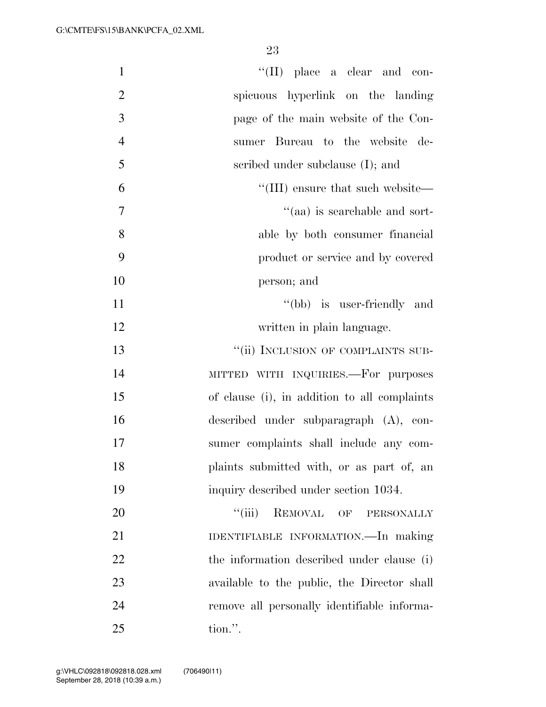| $\mathbf{1}$   | $\lq\lq$ (II) place a clear and con-         |
|----------------|----------------------------------------------|
| $\overline{2}$ | spicuous hyperlink on the landing            |
| 3              | page of the main website of the Con-         |
| $\overline{4}$ | sumer Bureau to the website<br>de-           |
| 5              | scribed under subclause (I); and             |
| 6              | "(III) ensure that such website—             |
| 7              | "(aa) is searchable and sort-                |
| 8              | able by both consumer financial              |
| 9              | product or service and by covered            |
| 10             | person; and                                  |
| 11             | "(bb) is user-friendly and                   |
| 12             | written in plain language.                   |
| 13             | "(ii) INCLUSION OF COMPLAINTS SUB-           |
| 14             | MITTED WITH INQUIRIES.-For purposes          |
| 15             | of clause (i), in addition to all complaints |
| 16             | described under subparagraph (A), con-       |
| 17             | sumer complaints shall include any com-      |
| 18             | plaints submitted with, or as part of, an    |
| 19             | inquiry described under section 1034.        |
| 20             | $``$ (iii)<br>REMOVAL OF PERSONALLY          |
| 21             | IDENTIFIABLE INFORMATION.—In making          |
| 22             | the information described under clause (i)   |
| 23             | available to the public, the Director shall  |
| 24             | remove all personally identifiable informa-  |
| 25             | tion.".                                      |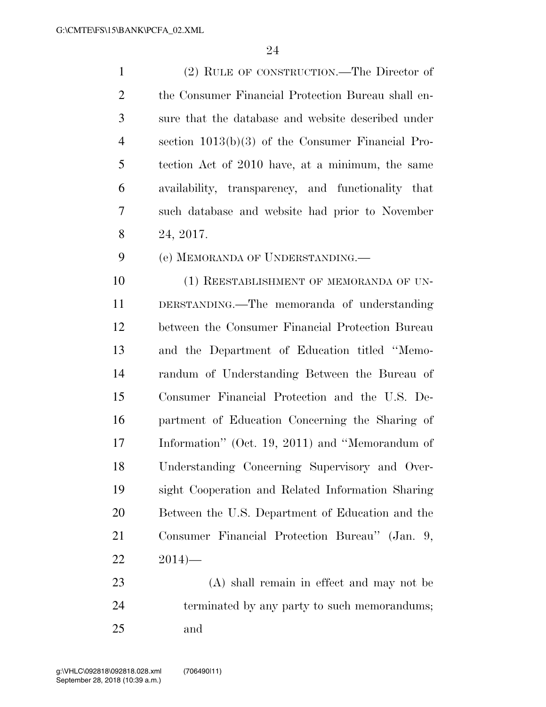(2) RULE OF CONSTRUCTION.—The Director of the Consumer Financial Protection Bureau shall en- sure that the database and website described under section 1013(b)(3) of the Consumer Financial Pro- tection Act of 2010 have, at a minimum, the same availability, transparency, and functionality that such database and website had prior to November 24, 2017.

(e) MEMORANDA OF UNDERSTANDING.—

10 (1) REESTABLISHMENT OF MEMORANDA OF UN- DERSTANDING.—The memoranda of understanding between the Consumer Financial Protection Bureau and the Department of Education titled ''Memo- randum of Understanding Between the Bureau of Consumer Financial Protection and the U.S. De- partment of Education Concerning the Sharing of Information'' (Oct. 19, 2011) and ''Memorandum of Understanding Concerning Supervisory and Over- sight Cooperation and Related Information Sharing Between the U.S. Department of Education and the Consumer Financial Protection Bureau'' (Jan. 9,  $22 \t 2014$ —

 (A) shall remain in effect and may not be terminated by any party to such memorandums; and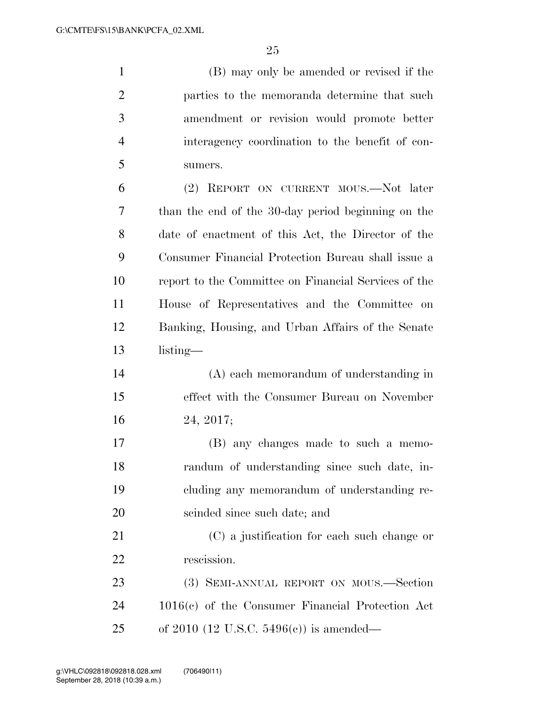(B) may only be amended or revised if the parties to the memoranda determine that such amendment or revision would promote better interagency coordination to the benefit of con-sumers.

 (2) REPORT ON CURRENT MOUS.—Not later than the end of the 30-day period beginning on the date of enactment of this Act, the Director of the Consumer Financial Protection Bureau shall issue a report to the Committee on Financial Services of the House of Representatives and the Committee on Banking, Housing, and Urban Affairs of the Senate listing—

 (A) each memorandum of understanding in effect with the Consumer Bureau on November 24, 2017;

 (B) any changes made to such a memo- randum of understanding since such date, in- cluding any memorandum of understanding re-scinded since such date; and

 (C) a justification for each such change or rescission.

 (3) SEMI-ANNUAL REPORT ON MOUS.—Section 1016(c) of the Consumer Financial Protection Act of 2010 (12 U.S.C. 5496(c)) is amended—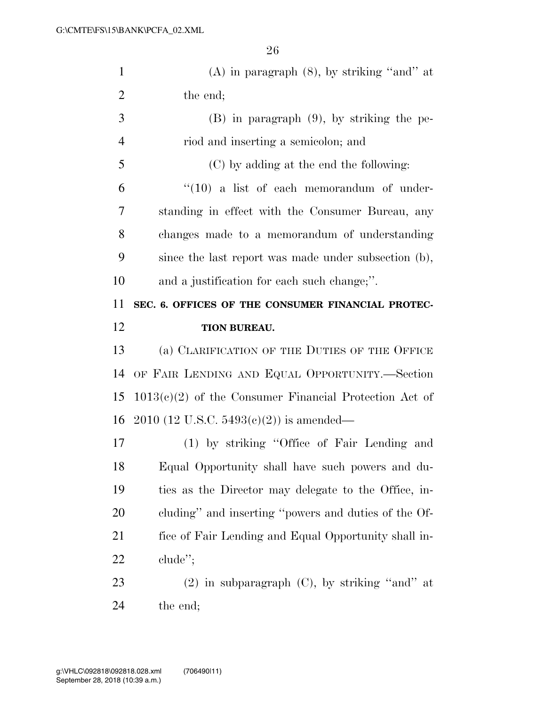| $\mathbf{1}$   | $(A)$ in paragraph $(8)$ , by striking "and" at          |
|----------------|----------------------------------------------------------|
| $\overline{2}$ | the end;                                                 |
| 3              | $(B)$ in paragraph $(9)$ , by striking the pe-           |
| $\overline{4}$ | riod and inserting a semicolon; and                      |
| 5              | (C) by adding at the end the following:                  |
| 6              | $``(10)$ a list of each memorandum of under-             |
| 7              | standing in effect with the Consumer Bureau, any         |
| 8              | changes made to a memorandum of understanding            |
| 9              | since the last report was made under subsection (b),     |
| 10             | and a justification for each such change;".              |
| 11             | SEC. 6. OFFICES OF THE CONSUMER FINANCIAL PROTEC-        |
| 12             | TION BUREAU.                                             |
| 13             | (a) CLARIFICATION OF THE DUTIES OF THE OFFICE            |
|                |                                                          |
| 14             | OF FAIR LENDING AND EQUAL OPPORTUNITY.—Section           |
| 15             | $1013(c)(2)$ of the Consumer Financial Protection Act of |
| 16             | $2010$ (12 U.S.C. 5493(c)(2)) is amended—                |
| 17             | (1) by striking "Office of Fair Lending and              |
| 18             | Equal Opportunity shall have such powers and du-         |
| 19             | ties as the Director may delegate to the Office, in-     |
| <b>20</b>      | cluding" and inserting "powers and duties of the Of-     |
| 21             | fice of Fair Lending and Equal Opportunity shall in-     |
| 22             | $chude$ <sup>"</sup> ;                                   |
| 23             | $(2)$ in subparagraph $(C)$ , by striking "and" at       |
| 24             | the end;                                                 |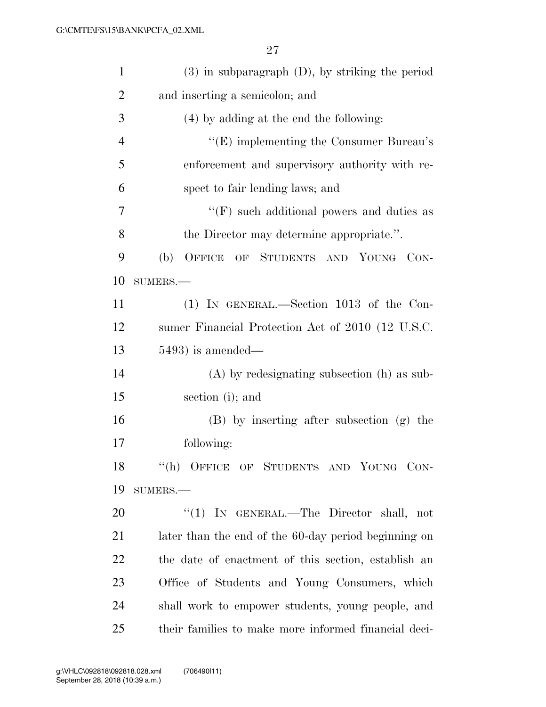| $\mathbf{1}$   | $(3)$ in subparagraph $(D)$ , by striking the period |
|----------------|------------------------------------------------------|
| $\overline{2}$ | and inserting a semicolon; and                       |
| 3              | (4) by adding at the end the following:              |
| $\overline{4}$ | $\lq\lq$ (E) implementing the Consumer Bureau's      |
| 5              | enforcement and supervisory authority with re-       |
| 6              | spect to fair lending laws; and                      |
| 7              | $\lq\lq(F)$ such additional powers and duties as     |
| 8              | the Director may determine appropriate.".            |
| 9              | (b)<br>OFFICE OF STUDENTS AND YOUNG CON-             |
| 10             | SUMERS.-                                             |
| 11             | $(1)$ IN GENERAL.—Section 1013 of the Con-           |
| 12             | sumer Financial Protection Act of 2010 (12 U.S.C.    |
| 13             | $5493$ ) is amended—                                 |
| 14             | $(A)$ by redesignating subsection $(h)$ as sub-      |
| 15             | section (i); and                                     |
| 16             | (B) by inserting after subsection (g) the            |
| 17             | following:                                           |
| 18             | "(h) OFFICE OF STUDENTS AND YOUNG CON-               |
| 19             | $SUMERS. -$                                          |
| 20             | "(1) IN GENERAL.—The Director shall, not             |
| 21             | later than the end of the 60-day period beginning on |
| 22             | the date of enactment of this section, establish an  |
| 23             | Office of Students and Young Consumers, which        |
| 24             | shall work to empower students, young people, and    |
| 25             | their families to make more informed financial deci- |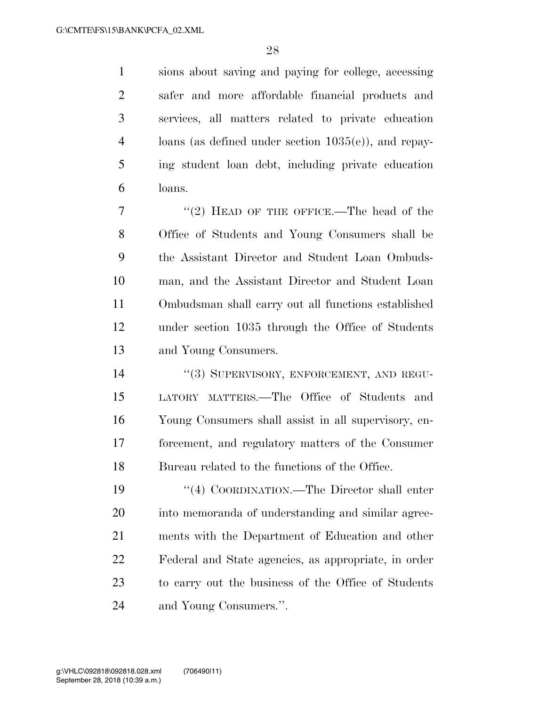sions about saving and paying for college, accessing safer and more affordable financial products and services, all matters related to private education loans (as defined under section 1035(e)), and repay- ing student loan debt, including private education loans.

7 "(2) HEAD OF THE OFFICE.—The head of the Office of Students and Young Consumers shall be the Assistant Director and Student Loan Ombuds- man, and the Assistant Director and Student Loan Ombudsman shall carry out all functions established under section 1035 through the Office of Students and Young Consumers.

14 "(3) SUPERVISORY, ENFORCEMENT, AND REGU- LATORY MATTERS.—The Office of Students and Young Consumers shall assist in all supervisory, en- forcement, and regulatory matters of the Consumer Bureau related to the functions of the Office.

 ''(4) COORDINATION.—The Director shall enter into memoranda of understanding and similar agree- ments with the Department of Education and other Federal and State agencies, as appropriate, in order to carry out the business of the Office of Students and Young Consumers.''.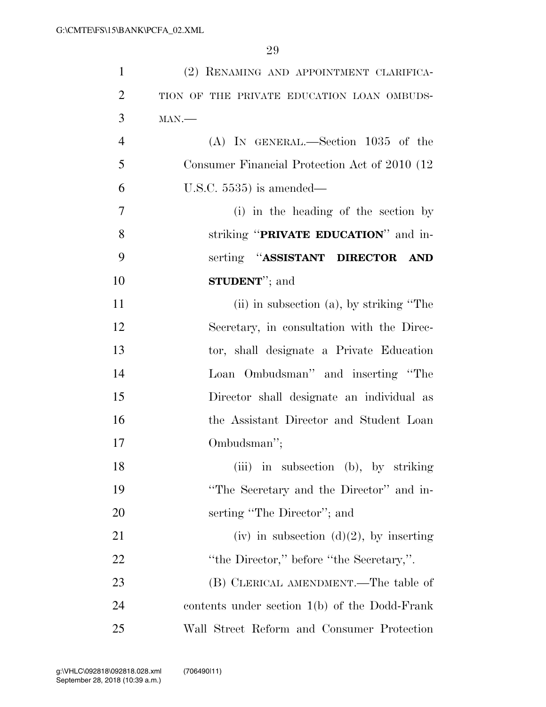| $\mathbf{1}$   | (2) RENAMING AND APPOINTMENT CLARIFICA-         |
|----------------|-------------------------------------------------|
| $\overline{2}$ | TION OF THE PRIVATE EDUCATION LOAN OMBUDS-      |
| 3              | $MAN$ .                                         |
| $\overline{4}$ | $(A)$ IN GENERAL.—Section 1035 of the           |
| 5              | Consumer Financial Protection Act of 2010 (12)  |
| 6              | U.S.C. $5535$ ) is amended—                     |
| 7              | (i) in the heading of the section by            |
| 8              | striking "PRIVATE EDUCATION" and in-            |
| 9              | serting "ASSISTANT DIRECTOR<br>AND              |
| 10             | <b>STUDENT</b> "; and                           |
| 11             | $(ii)$ in subsection $(a)$ , by striking "The   |
| 12             | Secretary, in consultation with the Direc-      |
| 13             | tor, shall designate a Private Education        |
| 14             | Loan Ombudsman" and inserting "The              |
| 15             | Director shall designate an individual as       |
| 16             | the Assistant Director and Student Loan         |
| 17             | Ombudsman";                                     |
| 18             | (iii) in subsection (b), by striking            |
| 19             | "The Secretary and the Director" and in-        |
| 20             | serting "The Director"; and                     |
| 21             | (iv) in subsection $(d)(2)$ , by inserting      |
| 22             | "the Director," before "the Secretary,".        |
| 23             | (B) CLERICAL AMENDMENT.—The table of            |
| 24             | contents under section $1(b)$ of the Dodd-Frank |
| 25             | Wall Street Reform and Consumer Protection      |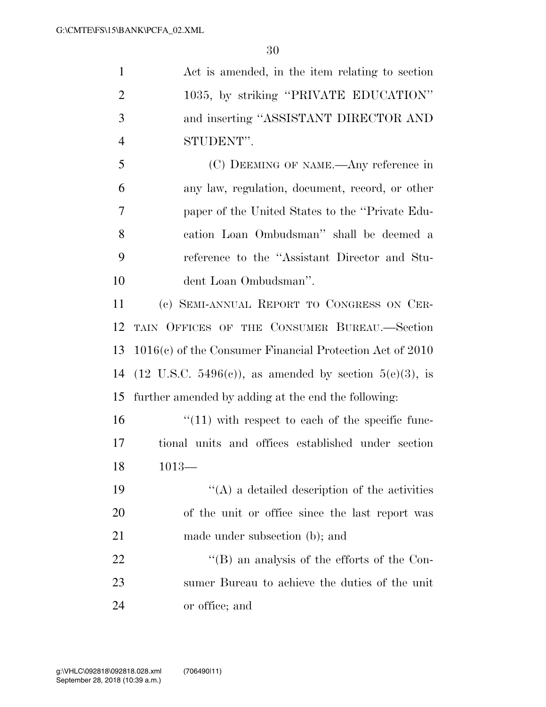Act is amended, in the item relating to section 1035, by striking ''PRIVATE EDUCATION'' and inserting ''ASSISTANT DIRECTOR AND STUDENT''.

 (C) DEEMING OF NAME.—Any reference in any law, regulation, document, record, or other paper of the United States to the ''Private Edu- cation Loan Ombudsman'' shall be deemed a reference to the ''Assistant Director and Stu-dent Loan Ombudsman''.

 (c) SEMI-ANNUAL REPORT TO CONGRESS ON CER- TAIN OFFICES OF THE CONSUMER BUREAU.—Section 1016(c) of the Consumer Financial Protection Act of 2010 14 (12 U.S.C. 5496(c)), as amended by section  $5(e)(3)$ , is further amended by adding at the end the following:

 $\frac{16}{11}$  with respect to each of the specific func- tional units and offices established under section 1013—

 ''(A) a detailed description of the activities of the unit or office since the last report was made under subsection (b); and

22  $\langle (B)$  an analysis of the efforts of the Con- sumer Bureau to achieve the duties of the unit or office; and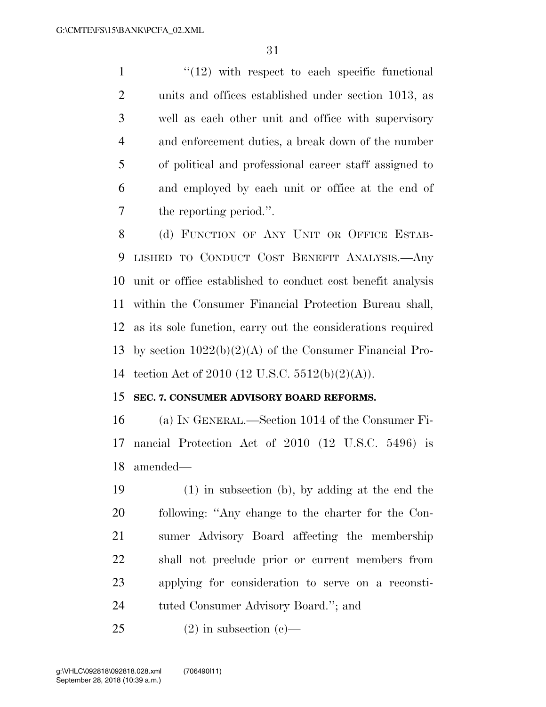$\frac{1}{12}$  ''(12) with respect to each specific functional units and offices established under section 1013, as well as each other unit and office with supervisory and enforcement duties, a break down of the number of political and professional career staff assigned to and employed by each unit or office at the end of the reporting period.''.

8 (d) FUNCTION OF ANY UNIT OR OFFICE ESTAB- LISHED TO CONDUCT COST BENEFIT ANALYSIS.—Any unit or office established to conduct cost benefit analysis within the Consumer Financial Protection Bureau shall, as its sole function, carry out the considerations required by section 1022(b)(2)(A) of the Consumer Financial Pro-tection Act of 2010 (12 U.S.C. 5512(b)(2)(A)).

## **SEC. 7. CONSUMER ADVISORY BOARD REFORMS.**

 (a) IN GENERAL.—Section 1014 of the Consumer Fi- nancial Protection Act of 2010 (12 U.S.C. 5496) is amended—

 (1) in subsection (b), by adding at the end the following: ''Any change to the charter for the Con- sumer Advisory Board affecting the membership shall not preclude prior or current members from applying for consideration to serve on a reconsti-tuted Consumer Advisory Board.''; and

25 (2) in subsection  $(c)$ —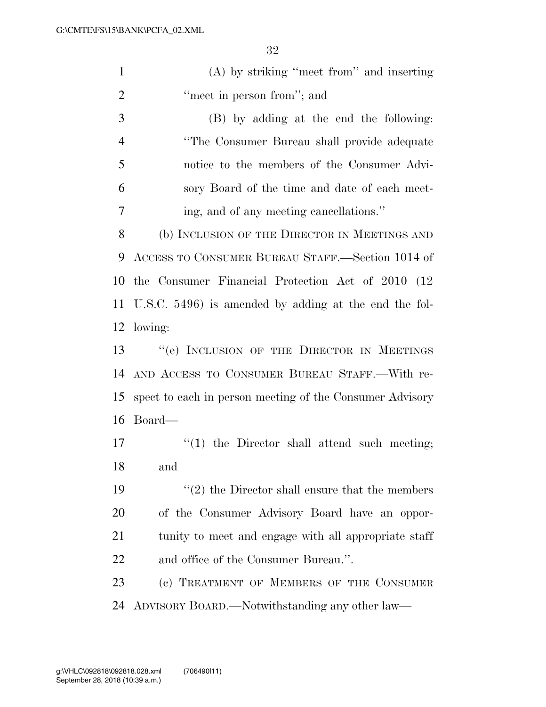| $\mathbf{1}$   | $(A)$ by striking "meet from" and inserting                     |
|----------------|-----------------------------------------------------------------|
| $\overline{2}$ | "meet in person from"; and                                      |
| 3              | (B) by adding at the end the following:                         |
| $\overline{4}$ | "The Consumer Bureau shall provide adequate"                    |
| 5              | notice to the members of the Consumer Advi-                     |
| 6              | sory Board of the time and date of each meet-                   |
| 7              | ing, and of any meeting cancellations."                         |
| 8              | (b) INCLUSION OF THE DIRECTOR IN MEETINGS AND                   |
| 9              | ACCESS TO CONSUMER BUREAU STAFF.—Section 1014 of                |
| 10             | the Consumer Financial Protection Act of 2010 (12)              |
| 11             | U.S.C. 5496) is amended by adding at the end the fol-           |
| 12             | lowing:                                                         |
| 13             | "(e) INCLUSION OF THE DIRECTOR IN MEETINGS                      |
| 14             | AND ACCESS TO CONSUMER BUREAU STAFF.—With re-                   |
| 15             | spect to each in person meeting of the Consumer Advisory        |
| 16             | Board—                                                          |
| 17             | $f(1)$ the Director shall attend such meeting;                  |
| 18             | and                                                             |
| 19             | $\cdot\cdot\cdot(2)$ the Director shall ensure that the members |
| 20             | of the Consumer Advisory Board have an oppor-                   |
| 21             | tunity to meet and engage with all appropriate staff            |
| 22             | and office of the Consumer Bureau.".                            |
| 23             | (c) TREATMENT OF MEMBERS OF THE CONSUMER                        |
| 24             | ADVISORY BOARD.—Notwithstanding any other law—                  |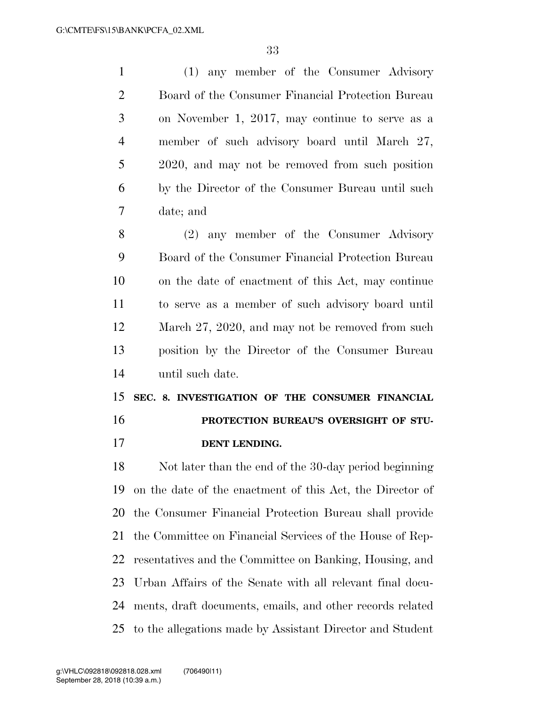(1) any member of the Consumer Advisory Board of the Consumer Financial Protection Bureau on November 1, 2017, may continue to serve as a member of such advisory board until March 27, 2020, and may not be removed from such position by the Director of the Consumer Bureau until such date; and (2) any member of the Consumer Advisory

 Board of the Consumer Financial Protection Bureau on the date of enactment of this Act, may continue to serve as a member of such advisory board until 12 March 27, 2020, and may not be removed from such position by the Director of the Consumer Bureau until such date.

 **SEC. 8. INVESTIGATION OF THE CONSUMER FINANCIAL PROTECTION BUREAU'S OVERSIGHT OF STU-DENT LENDING.** 

 Not later than the end of the 30-day period beginning on the date of the enactment of this Act, the Director of the Consumer Financial Protection Bureau shall provide the Committee on Financial Services of the House of Rep- resentatives and the Committee on Banking, Housing, and Urban Affairs of the Senate with all relevant final docu- ments, draft documents, emails, and other records related to the allegations made by Assistant Director and Student